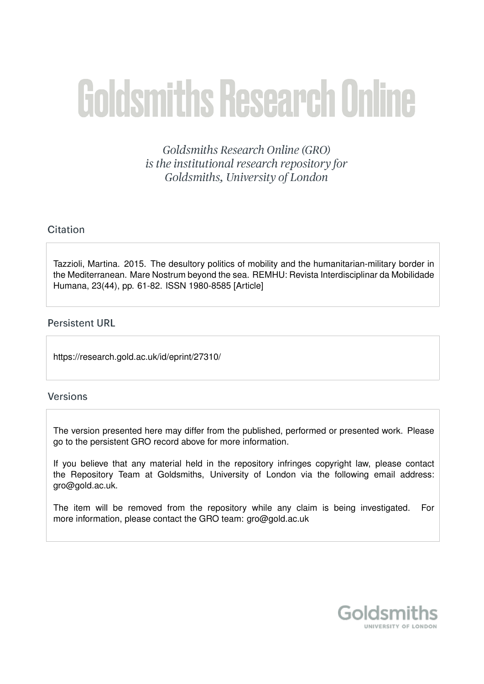# **Goldsmiths Research Online**

Goldsmiths Research Online (GRO) is the institutional research repository for Goldsmiths, University of London

# Citation

Tazzioli, Martina. 2015. The desultory politics of mobility and the humanitarian-military border in the Mediterranean. Mare Nostrum beyond the sea. REMHU: Revista Interdisciplinar da Mobilidade Humana, 23(44), pp. 61-82. ISSN 1980-8585 [Article]

# **Persistent URL**

https://research.gold.ac.uk/id/eprint/27310/

# **Versions**

The version presented here may differ from the published, performed or presented work. Please go to the persistent GRO record above for more information.

If you believe that any material held in the repository infringes copyright law, please contact the Repository Team at Goldsmiths, University of London via the following email address: gro@gold.ac.uk.

The item will be removed from the repository while any claim is being investigated. For more information, please contact the GRO team: gro@gold.ac.uk

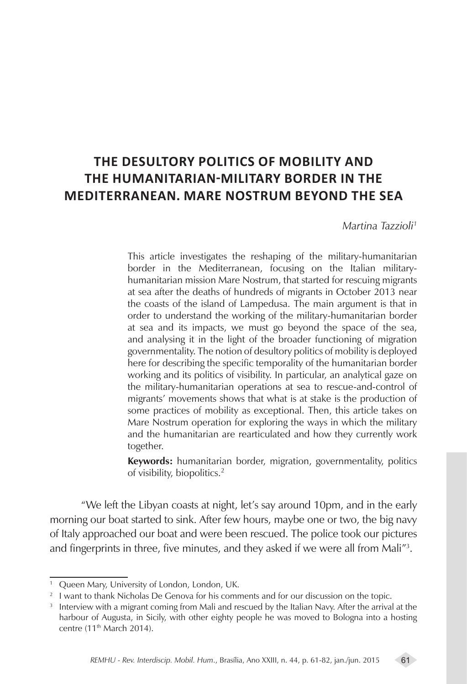# **THE DESULTORY POLITICS OF MOBILITY AND THE HUMANITARIAN-MILITARY BORDER IN THE MEDITERRANEAN. MARE NOSTRUM BEYOND THE SEA**

*Martina Tazzioli1*

This article investigates the reshaping of the military-humanitarian border in the Mediterranean, focusing on the Italian militaryhumanitarian mission Mare Nostrum, that started for rescuing migrants at sea after the deaths of hundreds of migrants in October 2013 near the coasts of the island of Lampedusa. The main argument is that in order to understand the working of the military-humanitarian border at sea and its impacts, we must go beyond the space of the sea, and analysing it in the light of the broader functioning of migration governmentality. The notion of desultory politics of mobility is deployed here for describing the specific temporality of the humanitarian border working and its politics of visibility. In particular, an analytical gaze on the military-humanitarian operations at sea to rescue-and-control of migrants' movements shows that what is at stake is the production of some practices of mobility as exceptional. Then, this article takes on Mare Nostrum operation for exploring the ways in which the military and the humanitarian are rearticulated and how they currently work together.

**Keywords:** humanitarian border, migration, governmentality, politics of visibility, biopolitics.2

"We left the Libyan coasts at night, let's say around 10pm, and in the early morning our boat started to sink. After few hours, maybe one or two, the big navy of Italy approached our boat and were been rescued. The police took our pictures and fingerprints in three, five minutes, and they asked if we were all from Mali"3 .

<sup>&</sup>lt;sup>1</sup> Queen Mary, University of London, London, UK.

<sup>&</sup>lt;sup>2</sup> I want to thank Nicholas De Genova for his comments and for our discussion on the topic.

 $3$  Interview with a migrant coming from Mali and rescued by the Italian Navy. After the arrival at the harbour of Augusta, in Sicily, with other eighty people he was moved to Bologna into a hosting centre (11<sup>th</sup> March 2014).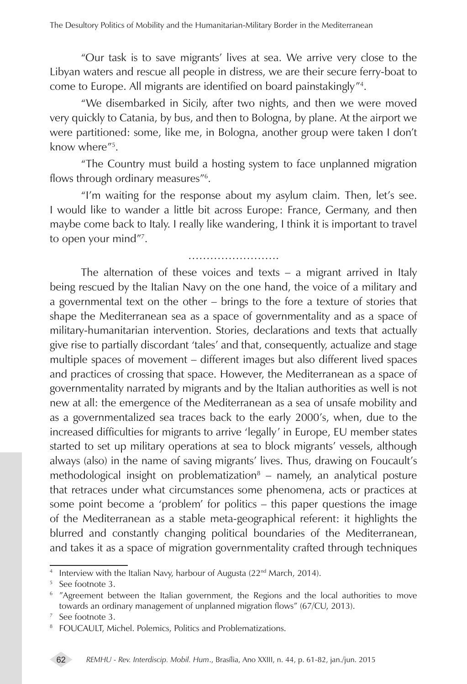"Our task is to save migrants' lives at sea. We arrive very close to the Libyan waters and rescue all people in distress, we are their secure ferry-boat to come to Europe. All migrants are identified on board painstakingly"4 .

"We disembarked in Sicily, after two nights, and then we were moved very quickly to Catania, by bus, and then to Bologna, by plane. At the airport we were partitioned: some, like me, in Bologna, another group were taken I don't know where"5 .

"The Country must build a hosting system to face unplanned migration flows through ordinary measures"6 .

"I'm waiting for the response about my asylum claim. Then, let's see. I would like to wander a little bit across Europe: France, Germany, and then maybe come back to Italy. I really like wandering, I think it is important to travel to open your mind"7 .

…………………….

The alternation of these voices and texts – a migrant arrived in Italy being rescued by the Italian Navy on the one hand, the voice of a military and a governmental text on the other – brings to the fore a texture of stories that shape the Mediterranean sea as a space of governmentality and as a space of military-humanitarian intervention. Stories, declarations and texts that actually give rise to partially discordant 'tales' and that, consequently, actualize and stage multiple spaces of movement – different images but also different lived spaces and practices of crossing that space. However, the Mediterranean as a space of governmentality narrated by migrants and by the Italian authorities as well is not new at all: the emergence of the Mediterranean as a sea of unsafe mobility and as a governmentalized sea traces back to the early 2000's, when, due to the increased difficulties for migrants to arrive 'legally' in Europe, EU member states started to set up military operations at sea to block migrants' vessels, although always (also) in the name of saving migrants' lives. Thus, drawing on Foucault's methodological insight on problematization<sup>8</sup> – namely, an analytical posture that retraces under what circumstances some phenomena, acts or practices at some point become a 'problem' for politics – this paper questions the image of the Mediterranean as a stable meta-geographical referent: it highlights the blurred and constantly changing political boundaries of the Mediterranean, and takes it as a space of migration governmentality crafted through techniques

<sup>&</sup>lt;sup>4</sup> Interview with the Italian Navy, harbour of Augusta (22<sup>nd</sup> March, 2014).

<sup>&</sup>lt;sup>5</sup> See footnote 3.

<sup>&</sup>lt;sup>6</sup> "Agreement between the Italian government, the Regions and the local authorities to move towards an ordinary management of unplanned migration flows" (67/CU, 2013).

<sup>7</sup> See footnote 3.

<sup>8</sup> FOUCAULT, Michel. Polemics, Politics and Problematizations.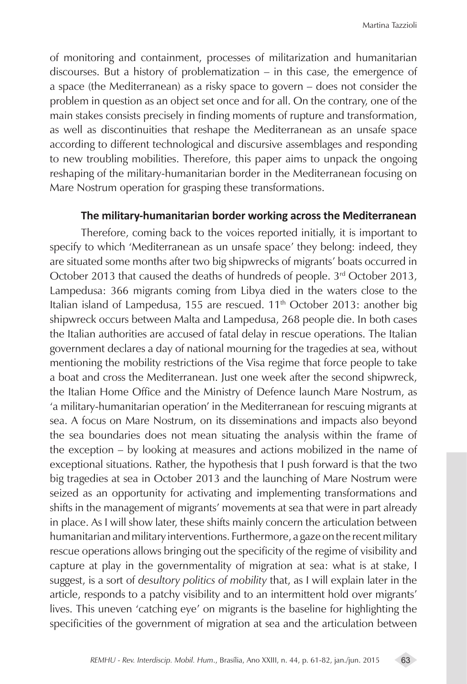of monitoring and containment, processes of militarization and humanitarian discourses. But a history of problematization – in this case, the emergence of a space (the Mediterranean) as a risky space to govern – does not consider the problem in question as an object set once and for all. On the contrary, one of the main stakes consists precisely in finding moments of rupture and transformation, as well as discontinuities that reshape the Mediterranean as an unsafe space according to different technological and discursive assemblages and responding to new troubling mobilities. Therefore, this paper aims to unpack the ongoing reshaping of the military-humanitarian border in the Mediterranean focusing on Mare Nostrum operation for grasping these transformations.

#### **The military-humanitarian border working across the Mediterranean**

Therefore, coming back to the voices reported initially, it is important to specify to which 'Mediterranean as un unsafe space' they belong: indeed, they are situated some months after two big shipwrecks of migrants' boats occurred in October 2013 that caused the deaths of hundreds of people. 3<sup>rd</sup> October 2013, Lampedusa: 366 migrants coming from Libya died in the waters close to the Italian island of Lampedusa, 155 are rescued.  $11<sup>th</sup>$  October 2013: another big shipwreck occurs between Malta and Lampedusa, 268 people die. In both cases the Italian authorities are accused of fatal delay in rescue operations. The Italian government declares a day of national mourning for the tragedies at sea, without mentioning the mobility restrictions of the Visa regime that force people to take a boat and cross the Mediterranean. Just one week after the second shipwreck, the Italian Home Office and the Ministry of Defence launch Mare Nostrum, as 'a military-humanitarian operation' in the Mediterranean for rescuing migrants at sea. A focus on Mare Nostrum, on its disseminations and impacts also beyond the sea boundaries does not mean situating the analysis within the frame of the exception – by looking at measures and actions mobilized in the name of exceptional situations. Rather, the hypothesis that I push forward is that the two big tragedies at sea in October 2013 and the launching of Mare Nostrum were seized as an opportunity for activating and implementing transformations and shifts in the management of migrants' movements at sea that were in part already in place. As I will show later, these shifts mainly concern the articulation between humanitarian and military interventions. Furthermore, a gaze on the recent military rescue operations allows bringing out the specificity of the regime of visibility and capture at play in the governmentality of migration at sea: what is at stake, I suggest, is a sort of *desultory politics of mobility* that, as I will explain later in the article, responds to a patchy visibility and to an intermittent hold over migrants' lives. This uneven 'catching eye' on migrants is the baseline for highlighting the specificities of the government of migration at sea and the articulation between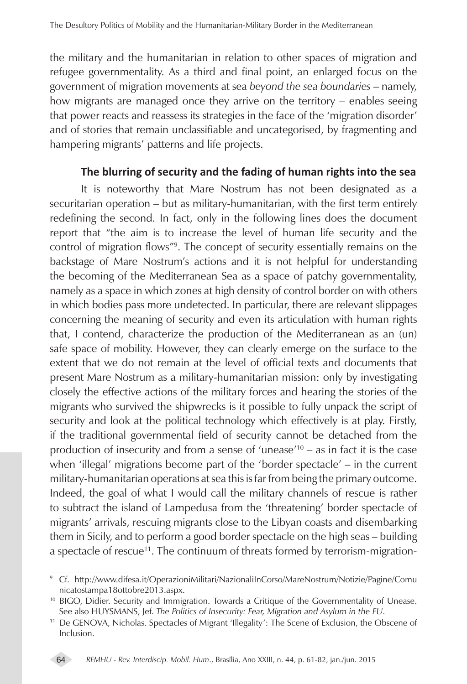the military and the humanitarian in relation to other spaces of migration and refugee governmentality. As a third and final point, an enlarged focus on the government of migration movements at sea *beyond the sea boundaries* – namely, how migrants are managed once they arrive on the territory – enables seeing that power reacts and reassess its strategies in the face of the 'migration disorder' and of stories that remain unclassifiable and uncategorised, by fragmenting and hampering migrants' patterns and life projects.

## **The blurring of security and the fading of human rights into the sea**

It is noteworthy that Mare Nostrum has not been designated as a securitarian operation – but as military-humanitarian, with the first term entirely redefining the second. In fact, only in the following lines does the document report that "the aim is to increase the level of human life security and the control of migration flows"9 . The concept of security essentially remains on the backstage of Mare Nostrum's actions and it is not helpful for understanding the becoming of the Mediterranean Sea as a space of patchy governmentality, namely as a space in which zones at high density of control border on with others in which bodies pass more undetected. In particular, there are relevant slippages concerning the meaning of security and even its articulation with human rights that, I contend, characterize the production of the Mediterranean as an (un) safe space of mobility. However, they can clearly emerge on the surface to the extent that we do not remain at the level of official texts and documents that present Mare Nostrum as a military-humanitarian mission: only by investigating closely the effective actions of the military forces and hearing the stories of the migrants who survived the shipwrecks is it possible to fully unpack the script of security and look at the political technology which effectively is at play. Firstly, if the traditional governmental field of security cannot be detached from the production of insecurity and from a sense of 'unease'10 – as in fact it is the case when 'illegal' migrations become part of the 'border spectacle' – in the current military-humanitarian operations at sea this is far from being the primary outcome. Indeed, the goal of what I would call the military channels of rescue is rather to subtract the island of Lampedusa from the 'threatening' border spectacle of migrants' arrivals, rescuing migrants close to the Libyan coasts and disembarking them in Sicily, and to perform a good border spectacle on the high seas – building a spectacle of rescue<sup>11</sup>. The continuum of threats formed by terrorism-migration-

<sup>11</sup> De GENOVA, Nicholas. Spectacles of Migrant 'Illegality': The Scene of Exclusion, the Obscene of Inclusion.



<sup>&</sup>lt;sup>9</sup> Cf. http://www.difesa.it/OperazioniMilitari/NazionaliInCorso/MareNostrum/Notizie/Pagine/Comu nicatostampa18ottobre2013.aspx.

<sup>&</sup>lt;sup>10</sup> BIGO, Didier. Security and Immigration. Towards a Critique of the Governmentality of Unease. See also HUYSMANS, Jef. *The Politics of Insecurity: Fear, Migration and Asylum in the EU*.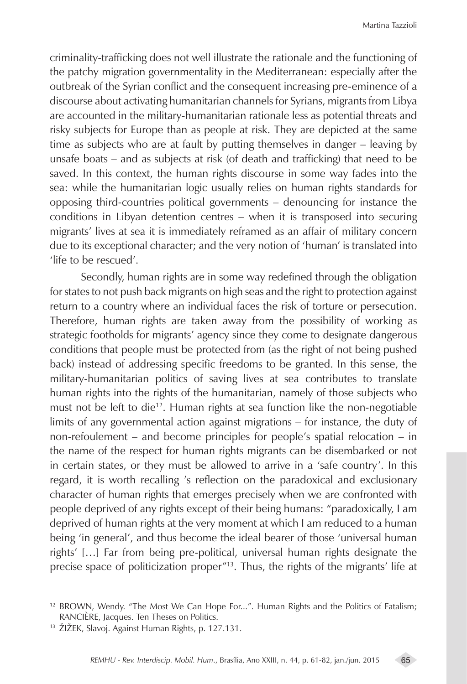criminality-trafficking does not well illustrate the rationale and the functioning of the patchy migration governmentality in the Mediterranean: especially after the outbreak of the Syrian conflict and the consequent increasing pre-eminence of a discourse about activating humanitarian channels for Syrians, migrants from Libya are accounted in the military-humanitarian rationale less as potential threats and risky subjects for Europe than as people at risk. They are depicted at the same time as subjects who are at fault by putting themselves in danger – leaving by unsafe boats – and as subjects at risk (of death and trafficking) that need to be saved. In this context, the human rights discourse in some way fades into the sea: while the humanitarian logic usually relies on human rights standards for opposing third-countries political governments – denouncing for instance the conditions in Libyan detention centres – when it is transposed into securing migrants' lives at sea it is immediately reframed as an affair of military concern due to its exceptional character; and the very notion of 'human' is translated into 'life to be rescued'.

Secondly, human rights are in some way redefined through the obligation for states to not push back migrants on high seas and the right to protection against return to a country where an individual faces the risk of torture or persecution. Therefore, human rights are taken away from the possibility of working as strategic footholds for migrants' agency since they come to designate dangerous conditions that people must be protected from (as the right of not being pushed back) instead of addressing specific freedoms to be granted. In this sense, the military-humanitarian politics of saving lives at sea contributes to translate human rights into the rights of the humanitarian, namely of those subjects who must not be left to die<sup>12</sup>. Human rights at sea function like the non-negotiable limits of any governmental action against migrations – for instance, the duty of non-refoulement – and become principles for people's spatial relocation – in the name of the respect for human rights migrants can be disembarked or not in certain states, or they must be allowed to arrive in a 'safe country'. In this regard, it is worth recalling 's reflection on the paradoxical and exclusionary character of human rights that emerges precisely when we are confronted with people deprived of any rights except of their being humans: "paradoxically, I am deprived of human rights at the very moment at which I am reduced to a human being 'in general', and thus become the ideal bearer of those 'universal human rights' […] Far from being pre-political, universal human rights designate the precise space of politicization proper"13. Thus, the rights of the migrants' life at

<sup>12</sup> BROWN, Wendy. "The Most We Can Hope For...". Human Rights and the Politics of Fatalism; RANCIÈRE, Jacques. Ten Theses on Politics.

<sup>13</sup> ŽIŽEK, Slavoj. Against Human Rights, p. 127.131.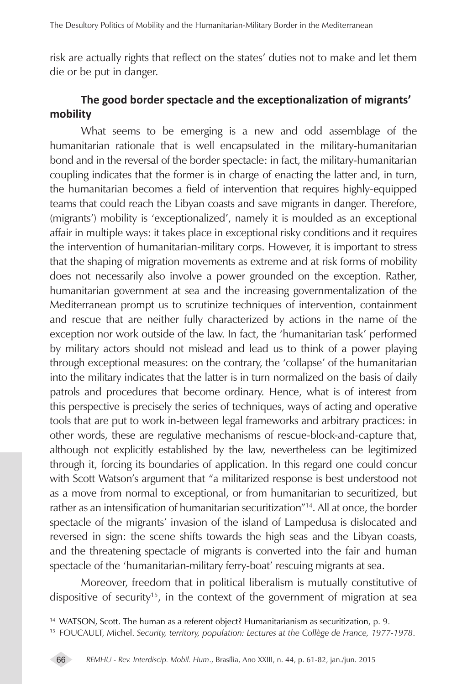risk are actually rights that reflect on the states' duties not to make and let them die or be put in danger.

# **The good border spectacle and the exceptionalization of migrants' mobility**

What seems to be emerging is a new and odd assemblage of the humanitarian rationale that is well encapsulated in the military-humanitarian bond and in the reversal of the border spectacle: in fact, the military-humanitarian coupling indicates that the former is in charge of enacting the latter and, in turn, the humanitarian becomes a field of intervention that requires highly-equipped teams that could reach the Libyan coasts and save migrants in danger. Therefore, (migrants') mobility is 'exceptionalized', namely it is moulded as an exceptional affair in multiple ways: it takes place in exceptional risky conditions and it requires the intervention of humanitarian-military corps. However, it is important to stress that the shaping of migration movements as extreme and at risk forms of mobility does not necessarily also involve a power grounded on the exception. Rather, humanitarian government at sea and the increasing governmentalization of the Mediterranean prompt us to scrutinize techniques of intervention, containment and rescue that are neither fully characterized by actions in the name of the exception nor work outside of the law. In fact, the 'humanitarian task' performed by military actors should not mislead and lead us to think of a power playing through exceptional measures: on the contrary, the 'collapse' of the humanitarian into the military indicates that the latter is in turn normalized on the basis of daily patrols and procedures that become ordinary. Hence, what is of interest from this perspective is precisely the series of techniques, ways of acting and operative tools that are put to work in-between legal frameworks and arbitrary practices: in other words, these are regulative mechanisms of rescue-block-and-capture that, although not explicitly established by the law, nevertheless can be legitimized through it, forcing its boundaries of application. In this regard one could concur with Scott Watson's argument that "a militarized response is best understood not as a move from normal to exceptional, or from humanitarian to securitized, but rather as an intensification of humanitarian securitization<sup>"14</sup>. All at once, the border spectacle of the migrants' invasion of the island of Lampedusa is dislocated and reversed in sign: the scene shifts towards the high seas and the Libyan coasts, and the threatening spectacle of migrants is converted into the fair and human spectacle of the 'humanitarian-military ferry-boat' rescuing migrants at sea.

Moreover, freedom that in political liberalism is mutually constitutive of dispositive of security<sup>15</sup>, in the context of the government of migration at sea

<sup>&</sup>lt;sup>14</sup> WATSON, Scott. The human as a referent object? Humanitarianism as securitization, p. 9.

<sup>15</sup> FOUCAULT, Michel. *Security, territory, population: Lectures at the Collège de France, 1977-1978*.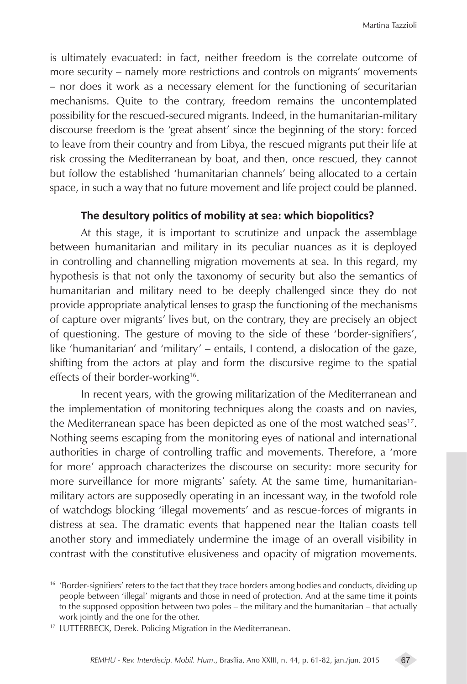is ultimately evacuated: in fact, neither freedom is the correlate outcome of more security – namely more restrictions and controls on migrants' movements – nor does it work as a necessary element for the functioning of securitarian mechanisms. Quite to the contrary, freedom remains the uncontemplated possibility for the rescued-secured migrants. Indeed, in the humanitarian-military discourse freedom is the 'great absent' since the beginning of the story: forced to leave from their country and from Libya, the rescued migrants put their life at risk crossing the Mediterranean by boat, and then, once rescued, they cannot but follow the established 'humanitarian channels' being allocated to a certain space, in such a way that no future movement and life project could be planned.

# **The desultory politics of mobility at sea: which biopolitics?**

At this stage, it is important to scrutinize and unpack the assemblage between humanitarian and military in its peculiar nuances as it is deployed in controlling and channelling migration movements at sea. In this regard, my hypothesis is that not only the taxonomy of security but also the semantics of humanitarian and military need to be deeply challenged since they do not provide appropriate analytical lenses to grasp the functioning of the mechanisms of capture over migrants' lives but, on the contrary, they are precisely an object of questioning. The gesture of moving to the side of these 'border-signifiers', like 'humanitarian' and 'military' – entails, I contend, a dislocation of the gaze, shifting from the actors at play and form the discursive regime to the spatial effects of their border-working<sup>16</sup>.

In recent years, with the growing militarization of the Mediterranean and the implementation of monitoring techniques along the coasts and on navies, the Mediterranean space has been depicted as one of the most watched seas<sup>17</sup>. Nothing seems escaping from the monitoring eyes of national and international authorities in charge of controlling traffic and movements. Therefore, a 'more for more' approach characterizes the discourse on security: more security for more surveillance for more migrants' safety. At the same time, humanitarianmilitary actors are supposedly operating in an incessant way, in the twofold role of watchdogs blocking 'illegal movements' and as rescue-forces of migrants in distress at sea. The dramatic events that happened near the Italian coasts tell another story and immediately undermine the image of an overall visibility in contrast with the constitutive elusiveness and opacity of migration movements.

<sup>&</sup>lt;sup>16</sup> 'Border-signifiers' refers to the fact that they trace borders among bodies and conducts, dividing up people between 'illegal' migrants and those in need of protection. And at the same time it points to the supposed opposition between two poles – the military and the humanitarian – that actually work jointly and the one for the other.

<sup>17</sup> LUTTERBECK, Derek. Policing Migration in the Mediterranean.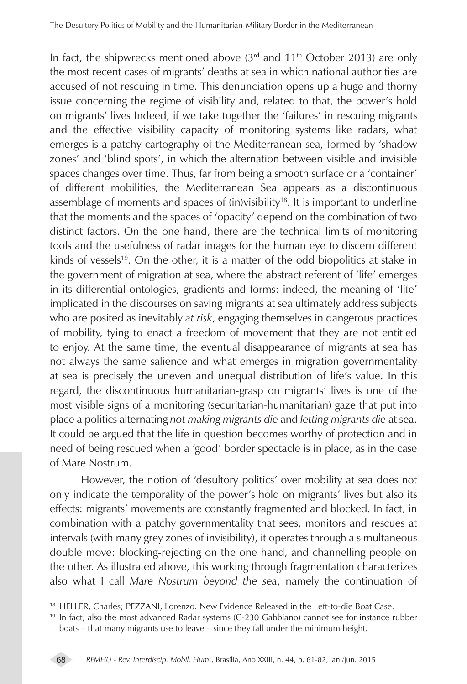In fact, the shipwrecks mentioned above  $(3<sup>rd</sup>$  and  $11<sup>th</sup>$  October 2013) are only the most recent cases of migrants' deaths at sea in which national authorities are accused of not rescuing in time. This denunciation opens up a huge and thorny issue concerning the regime of visibility and, related to that, the power's hold on migrants' lives Indeed, if we take together the 'failures' in rescuing migrants and the effective visibility capacity of monitoring systems like radars, what emerges is a patchy cartography of the Mediterranean sea, formed by 'shadow zones' and 'blind spots', in which the alternation between visible and invisible spaces changes over time. Thus, far from being a smooth surface or a 'container' of different mobilities, the Mediterranean Sea appears as a discontinuous assemblage of moments and spaces of (in)visibility<sup>18</sup>. It is important to underline that the moments and the spaces of 'opacity' depend on the combination of two distinct factors. On the one hand, there are the technical limits of monitoring tools and the usefulness of radar images for the human eye to discern different kinds of vessels<sup>19</sup>. On the other, it is a matter of the odd biopolitics at stake in the government of migration at sea, where the abstract referent of 'life' emerges in its differential ontologies, gradients and forms: indeed, the meaning of 'life' implicated in the discourses on saving migrants at sea ultimately address subjects who are posited as inevitably *at risk*, engaging themselves in dangerous practices of mobility, tying to enact a freedom of movement that they are not entitled to enjoy. At the same time, the eventual disappearance of migrants at sea has not always the same salience and what emerges in migration governmentality at sea is precisely the uneven and unequal distribution of life's value. In this regard, the discontinuous humanitarian-grasp on migrants' lives is one of the most visible signs of a monitoring (securitarian-humanitarian) gaze that put into place a politics alternating *not making migrants die* and *letting migrants die* at sea. It could be argued that the life in question becomes worthy of protection and in need of being rescued when a 'good' border spectacle is in place, as in the case of Mare Nostrum.

However, the notion of 'desultory politics' over mobility at sea does not only indicate the temporality of the power's hold on migrants' lives but also its effects: migrants' movements are constantly fragmented and blocked. In fact, in combination with a patchy governmentality that sees, monitors and rescues at intervals (with many grey zones of invisibility), it operates through a simultaneous double move: blocking-rejecting on the one hand, and channelling people on the other. As illustrated above, this working through fragmentation characterizes also what I call *Mare Nostrum beyond the sea*, namely the continuation of

<sup>18</sup> HELLER, Charles; PEZZANI, Lorenzo. New Evidence Released in the Left-to-die Boat Case.

<sup>&</sup>lt;sup>19</sup> In fact, also the most advanced Radar systems (C-230 Gabbiano) cannot see for instance rubber boats – that many migrants use to leave – since they fall under the minimum height.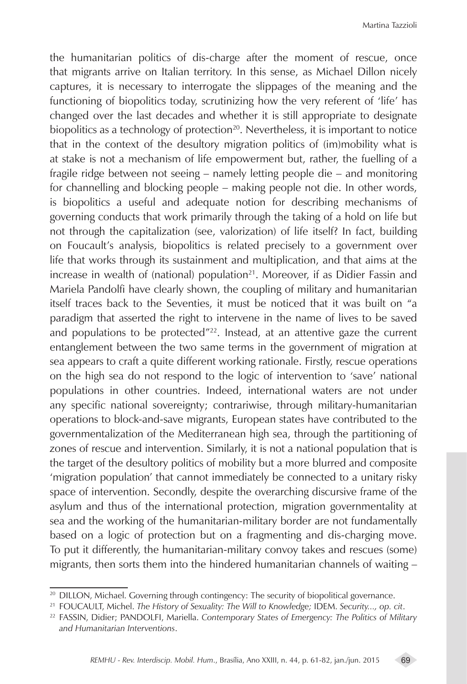the humanitarian politics of dis-charge after the moment of rescue, once that migrants arrive on Italian territory. In this sense, as Michael Dillon nicely captures, it is necessary to interrogate the slippages of the meaning and the functioning of biopolitics today, scrutinizing how the very referent of 'life' has changed over the last decades and whether it is still appropriate to designate biopolitics as a technology of protection $20$ . Nevertheless, it is important to notice that in the context of the desultory migration politics of (im)mobility what is at stake is not a mechanism of life empowerment but, rather, the fuelling of a fragile ridge between not seeing – namely letting people die – and monitoring for channelling and blocking people – making people not die. In other words, is biopolitics a useful and adequate notion for describing mechanisms of governing conducts that work primarily through the taking of a hold on life but not through the capitalization (see, valorization) of life itself? In fact, building on Foucault's analysis, biopolitics is related precisely to a government over life that works through its sustainment and multiplication, and that aims at the increase in wealth of (national) population $21$ . Moreover, if as Didier Fassin and Mariela Pandolfi have clearly shown, the coupling of military and humanitarian itself traces back to the Seventies, it must be noticed that it was built on "a paradigm that asserted the right to intervene in the name of lives to be saved and populations to be protected" $^{22}$ . Instead, at an attentive gaze the current entanglement between the two same terms in the government of migration at sea appears to craft a quite different working rationale. Firstly, rescue operations on the high sea do not respond to the logic of intervention to 'save' national populations in other countries. Indeed, international waters are not under any specific national sovereignty; contrariwise, through military-humanitarian operations to block-and-save migrants, European states have contributed to the governmentalization of the Mediterranean high sea, through the partitioning of zones of rescue and intervention. Similarly, it is not a national population that is the target of the desultory politics of mobility but a more blurred and composite 'migration population' that cannot immediately be connected to a unitary risky space of intervention. Secondly, despite the overarching discursive frame of the asylum and thus of the international protection, migration governmentality at sea and the working of the humanitarian-military border are not fundamentally based on a logic of protection but on a fragmenting and dis-charging move. To put it differently, the humanitarian-military convoy takes and rescues (some) migrants, then sorts them into the hindered humanitarian channels of waiting –

<sup>&</sup>lt;sup>20</sup> DILLON, Michael. Governing through contingency: The security of biopolitical governance.

<sup>21</sup> FOUCAULT, Michel. *The History of Sexuality: The Will to Knowledge;* IDEM. *Security..., op. cit*.

<sup>22</sup> FASSIN, Didier; PANDOLFI, Mariella. *Contemporary States of Emergency: The Politics of Military and Humanitarian Interventions*.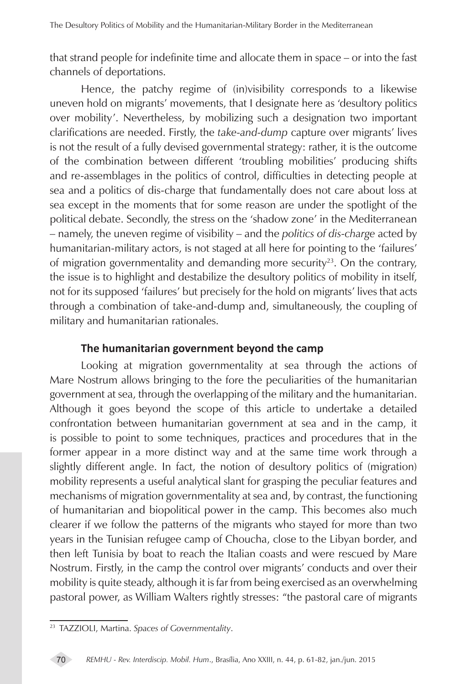that strand people for indefinite time and allocate them in space – or into the fast channels of deportations.

Hence, the patchy regime of (in)visibility corresponds to a likewise uneven hold on migrants' movements, that I designate here as 'desultory politics over mobility'. Nevertheless, by mobilizing such a designation two important clarifications are needed. Firstly, the *take-and-dump* capture over migrants' lives is not the result of a fully devised governmental strategy: rather, it is the outcome of the combination between different 'troubling mobilities' producing shifts and re-assemblages in the politics of control, difficulties in detecting people at sea and a politics of dis-charge that fundamentally does not care about loss at sea except in the moments that for some reason are under the spotlight of the political debate. Secondly, the stress on the 'shadow zone' in the Mediterranean – namely, the uneven regime of visibility – and the *politics of dis-charge* acted by humanitarian-military actors, is not staged at all here for pointing to the 'failures' of migration governmentality and demanding more security<sup>23</sup>. On the contrary, the issue is to highlight and destabilize the desultory politics of mobility in itself, not for its supposed 'failures' but precisely for the hold on migrants' lives that acts through a combination of take-and-dump and, simultaneously, the coupling of military and humanitarian rationales.

# **The humanitarian government beyond the camp**

Looking at migration governmentality at sea through the actions of Mare Nostrum allows bringing to the fore the peculiarities of the humanitarian government at sea, through the overlapping of the military and the humanitarian. Although it goes beyond the scope of this article to undertake a detailed confrontation between humanitarian government at sea and in the camp, it is possible to point to some techniques, practices and procedures that in the former appear in a more distinct way and at the same time work through a slightly different angle. In fact, the notion of desultory politics of (migration) mobility represents a useful analytical slant for grasping the peculiar features and mechanisms of migration governmentality at sea and, by contrast, the functioning of humanitarian and biopolitical power in the camp. This becomes also much clearer if we follow the patterns of the migrants who stayed for more than two years in the Tunisian refugee camp of Choucha, close to the Libyan border, and then left Tunisia by boat to reach the Italian coasts and were rescued by Mare Nostrum. Firstly, in the camp the control over migrants' conducts and over their mobility is quite steady, although it is far from being exercised as an overwhelming pastoral power, as William Walters rightly stresses: "the pastoral care of migrants

<sup>23</sup> TAZZIOLI, Martina. *Spaces of Governmentality*.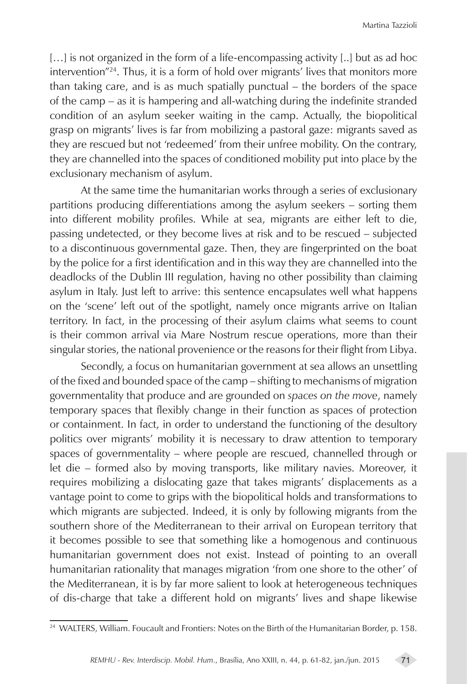[...] is not organized in the form of a life-encompassing activity [..] but as ad hoc intervention"24. Thus, it is a form of hold over migrants' lives that monitors more than taking care, and is as much spatially punctual – the borders of the space of the camp – as it is hampering and all-watching during the indefinite stranded condition of an asylum seeker waiting in the camp. Actually, the biopolitical grasp on migrants' lives is far from mobilizing a pastoral gaze: migrants saved as they are rescued but not 'redeemed' from their unfree mobility. On the contrary, they are channelled into the spaces of conditioned mobility put into place by the exclusionary mechanism of asylum.

At the same time the humanitarian works through a series of exclusionary partitions producing differentiations among the asylum seekers – sorting them into different mobility profiles. While at sea, migrants are either left to die, passing undetected, or they become lives at risk and to be rescued – subjected to a discontinuous governmental gaze. Then, they are fingerprinted on the boat by the police for a first identification and in this way they are channelled into the deadlocks of the Dublin III regulation, having no other possibility than claiming asylum in Italy. Just left to arrive: this sentence encapsulates well what happens on the 'scene' left out of the spotlight, namely once migrants arrive on Italian territory. In fact, in the processing of their asylum claims what seems to count is their common arrival via Mare Nostrum rescue operations, more than their singular stories, the national provenience or the reasons for their flight from Libya.

Secondly, a focus on humanitarian government at sea allows an unsettling of the fixed and bounded space of the camp – shifting to mechanisms of migration governmentality that produce and are grounded on *spaces on the move*, namely temporary spaces that flexibly change in their function as spaces of protection or containment. In fact, in order to understand the functioning of the desultory politics over migrants' mobility it is necessary to draw attention to temporary spaces of governmentality – where people are rescued, channelled through or let die – formed also by moving transports, like military navies. Moreover, it requires mobilizing a dislocating gaze that takes migrants' displacements as a vantage point to come to grips with the biopolitical holds and transformations to which migrants are subjected. Indeed, it is only by following migrants from the southern shore of the Mediterranean to their arrival on European territory that it becomes possible to see that something like a homogenous and continuous humanitarian government does not exist. Instead of pointing to an overall humanitarian rationality that manages migration 'from one shore to the other' of the Mediterranean, it is by far more salient to look at heterogeneous techniques of dis-charge that take a different hold on migrants' lives and shape likewise

<sup>&</sup>lt;sup>24</sup> WALTERS, William. Foucault and Frontiers: Notes on the Birth of the Humanitarian Border, p. 158.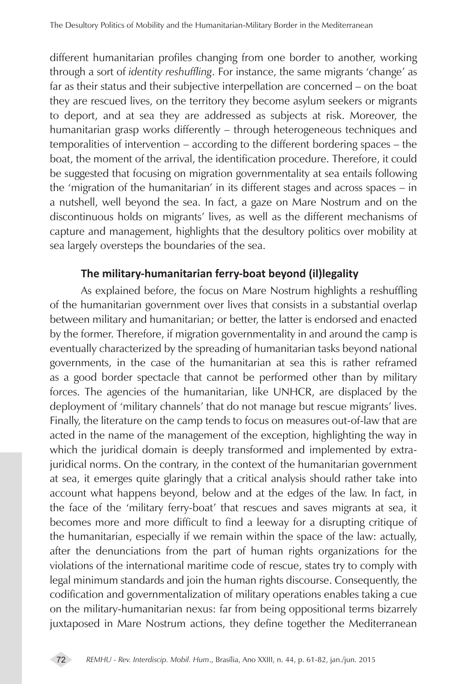different humanitarian profiles changing from one border to another, working through a sort of *identity reshuffling*. For instance, the same migrants 'change' as far as their status and their subjective interpellation are concerned – on the boat they are rescued lives, on the territory they become asylum seekers or migrants to deport, and at sea they are addressed as subjects at risk. Moreover, the humanitarian grasp works differently – through heterogeneous techniques and temporalities of intervention – according to the different bordering spaces – the boat, the moment of the arrival, the identification procedure. Therefore, it could be suggested that focusing on migration governmentality at sea entails following the 'migration of the humanitarian' in its different stages and across spaces – in a nutshell, well beyond the sea. In fact, a gaze on Mare Nostrum and on the discontinuous holds on migrants' lives, as well as the different mechanisms of capture and management, highlights that the desultory politics over mobility at sea largely oversteps the boundaries of the sea.

# **The military-humanitarian ferry-boat beyond (il)legality**

As explained before, the focus on Mare Nostrum highlights a reshuffling of the humanitarian government over lives that consists in a substantial overlap between military and humanitarian; or better, the latter is endorsed and enacted by the former. Therefore, if migration governmentality in and around the camp is eventually characterized by the spreading of humanitarian tasks beyond national governments, in the case of the humanitarian at sea this is rather reframed as a good border spectacle that cannot be performed other than by military forces. The agencies of the humanitarian, like UNHCR, are displaced by the deployment of 'military channels' that do not manage but rescue migrants' lives. Finally, the literature on the camp tends to focus on measures out-of-law that are acted in the name of the management of the exception, highlighting the way in which the juridical domain is deeply transformed and implemented by extrajuridical norms. On the contrary, in the context of the humanitarian government at sea, it emerges quite glaringly that a critical analysis should rather take into account what happens beyond, below and at the edges of the law. In fact, in the face of the 'military ferry-boat' that rescues and saves migrants at sea, it becomes more and more difficult to find a leeway for a disrupting critique of the humanitarian, especially if we remain within the space of the law: actually, after the denunciations from the part of human rights organizations for the violations of the international maritime code of rescue, states try to comply with legal minimum standards and join the human rights discourse. Consequently, the codification and governmentalization of military operations enables taking a cue on the military-humanitarian nexus: far from being oppositional terms bizarrely juxtaposed in Mare Nostrum actions, they define together the Mediterranean

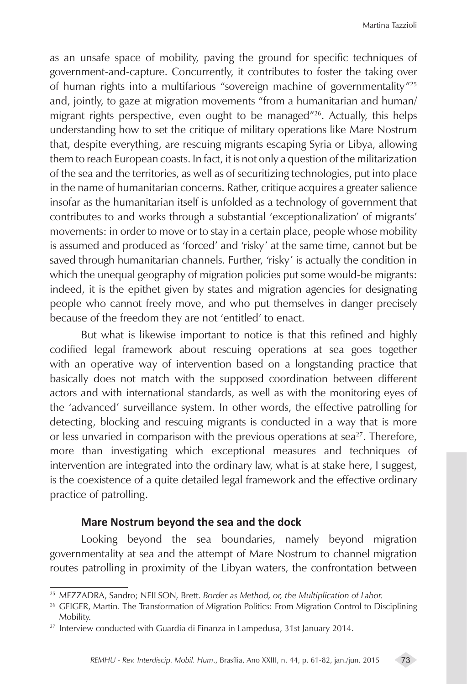as an unsafe space of mobility, paving the ground for specific techniques of government-and-capture. Concurrently, it contributes to foster the taking over of human rights into a multifarious "sovereign machine of governmentality"25 and, jointly, to gaze at migration movements "from a humanitarian and human/ migrant rights perspective, even ought to be managed"26. Actually, this helps understanding how to set the critique of military operations like Mare Nostrum that, despite everything, are rescuing migrants escaping Syria or Libya, allowing them to reach European coasts. In fact, it is not only a question of the militarization of the sea and the territories, as well as of securitizing technologies, put into place in the name of humanitarian concerns. Rather, critique acquires a greater salience insofar as the humanitarian itself is unfolded as a technology of government that contributes to and works through a substantial 'exceptionalization' of migrants' movements: in order to move or to stay in a certain place, people whose mobility is assumed and produced as 'forced' and 'risky' at the same time, cannot but be saved through humanitarian channels. Further, 'risky' is actually the condition in which the unequal geography of migration policies put some would-be migrants: indeed, it is the epithet given by states and migration agencies for designating people who cannot freely move, and who put themselves in danger precisely because of the freedom they are not 'entitled' to enact.

But what is likewise important to notice is that this refined and highly codified legal framework about rescuing operations at sea goes together with an operative way of intervention based on a longstanding practice that basically does not match with the supposed coordination between different actors and with international standards, as well as with the monitoring eyes of the 'advanced' surveillance system. In other words, the effective patrolling for detecting, blocking and rescuing migrants is conducted in a way that is more or less unvaried in comparison with the previous operations at sea<sup>27</sup>. Therefore, more than investigating which exceptional measures and techniques of intervention are integrated into the ordinary law, what is at stake here, I suggest, is the coexistence of a quite detailed legal framework and the effective ordinary practice of patrolling.

## **Mare Nostrum beyond the sea and the dock**

Looking beyond the sea boundaries, namely beyond migration governmentality at sea and the attempt of Mare Nostrum to channel migration routes patrolling in proximity of the Libyan waters, the confrontation between

<sup>25</sup> MEZZADRA, Sandro; NEILSON, Brett. *Border as Method, or, the Multiplication of Labor.*

<sup>&</sup>lt;sup>26</sup> GEIGER, Martin. The Transformation of Migration Politics: From Migration Control to Disciplining Mobility.

<sup>&</sup>lt;sup>27</sup> Interview conducted with Guardia di Finanza in Lampedusa, 31st January 2014.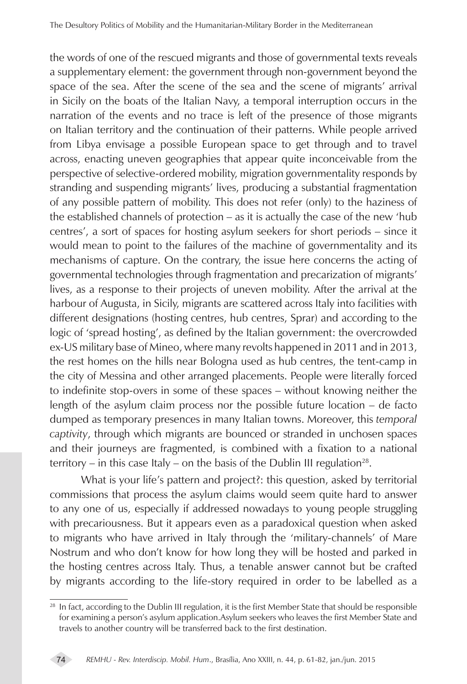the words of one of the rescued migrants and those of governmental texts reveals a supplementary element: the government through non-government beyond the space of the sea. After the scene of the sea and the scene of migrants' arrival in Sicily on the boats of the Italian Navy, a temporal interruption occurs in the narration of the events and no trace is left of the presence of those migrants on Italian territory and the continuation of their patterns. While people arrived from Libya envisage a possible European space to get through and to travel across, enacting uneven geographies that appear quite inconceivable from the perspective of selective-ordered mobility, migration governmentality responds by stranding and suspending migrants' lives, producing a substantial fragmentation of any possible pattern of mobility. This does not refer (only) to the haziness of the established channels of protection – as it is actually the case of the new 'hub centres', a sort of spaces for hosting asylum seekers for short periods – since it would mean to point to the failures of the machine of governmentality and its mechanisms of capture. On the contrary, the issue here concerns the acting of governmental technologies through fragmentation and precarization of migrants' lives, as a response to their projects of uneven mobility. After the arrival at the harbour of Augusta, in Sicily, migrants are scattered across Italy into facilities with different designations (hosting centres, hub centres, Sprar) and according to the logic of 'spread hosting', as defined by the Italian government: the overcrowded ex-US military base of Mineo, where many revolts happened in 2011 and in 2013, the rest homes on the hills near Bologna used as hub centres, the tent-camp in the city of Messina and other arranged placements. People were literally forced to indefinite stop-overs in some of these spaces – without knowing neither the length of the asylum claim process nor the possible future location – de facto dumped as temporary presences in many Italian towns. Moreover, this *temporal captivity*, through which migrants are bounced or stranded in unchosen spaces and their journeys are fragmented, is combined with a fixation to a national territory – in this case Italy – on the basis of the Dublin III regulation<sup>28</sup>.

What is your life's pattern and project?: this question, asked by territorial commissions that process the asylum claims would seem quite hard to answer to any one of us, especially if addressed nowadays to young people struggling with precariousness. But it appears even as a paradoxical question when asked to migrants who have arrived in Italy through the 'military-channels' of Mare Nostrum and who don't know for how long they will be hosted and parked in the hosting centres across Italy. Thus, a tenable answer cannot but be crafted by migrants according to the life-story required in order to be labelled as a

 $28$  In fact, according to the Dublin III regulation, it is the first Member State that should be responsible for examining a person's asylum application.Asylum seekers who leaves the first Member State and travels to another country will be transferred back to the first destination.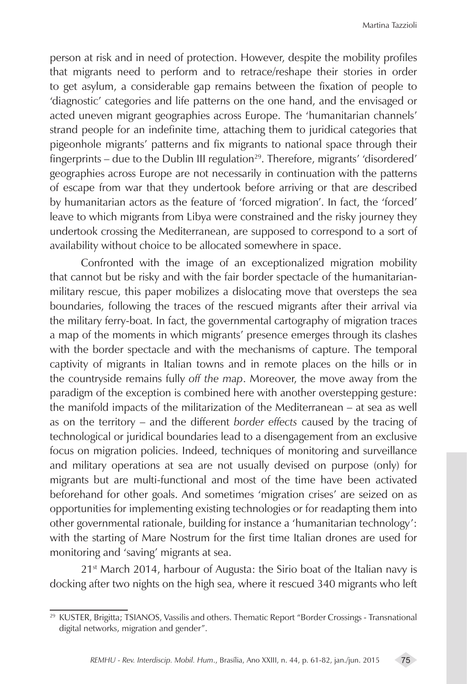person at risk and in need of protection. However, despite the mobility profiles that migrants need to perform and to retrace/reshape their stories in order to get asylum, a considerable gap remains between the fixation of people to 'diagnostic' categories and life patterns on the one hand, and the envisaged or acted uneven migrant geographies across Europe. The 'humanitarian channels' strand people for an indefinite time, attaching them to juridical categories that pigeonhole migrants' patterns and fix migrants to national space through their fingerprints – due to the Dublin III regulation<sup>29</sup>. Therefore, migrants' 'disordered' geographies across Europe are not necessarily in continuation with the patterns of escape from war that they undertook before arriving or that are described by humanitarian actors as the feature of 'forced migration'. In fact, the 'forced' leave to which migrants from Libya were constrained and the risky journey they undertook crossing the Mediterranean, are supposed to correspond to a sort of availability without choice to be allocated somewhere in space.

Confronted with the image of an exceptionalized migration mobility that cannot but be risky and with the fair border spectacle of the humanitarianmilitary rescue, this paper mobilizes a dislocating move that oversteps the sea boundaries, following the traces of the rescued migrants after their arrival via the military ferry-boat. In fact, the governmental cartography of migration traces a map of the moments in which migrants' presence emerges through its clashes with the border spectacle and with the mechanisms of capture. The temporal captivity of migrants in Italian towns and in remote places on the hills or in the countryside remains fully *off the map*. Moreover, the move away from the paradigm of the exception is combined here with another overstepping gesture: the manifold impacts of the militarization of the Mediterranean – at sea as well as on the territory – and the different *border effects* caused by the tracing of technological or juridical boundaries lead to a disengagement from an exclusive focus on migration policies. Indeed, techniques of monitoring and surveillance and military operations at sea are not usually devised on purpose (only) for migrants but are multi-functional and most of the time have been activated beforehand for other goals. And sometimes 'migration crises' are seized on as opportunities for implementing existing technologies or for readapting them into other governmental rationale, building for instance a 'humanitarian technology': with the starting of Mare Nostrum for the first time Italian drones are used for monitoring and 'saving' migrants at sea.

 $21<sup>st</sup>$  March 2014, harbour of Augusta: the Sirio boat of the Italian navy is docking after two nights on the high sea, where it rescued 340 migrants who left

<sup>&</sup>lt;sup>29</sup> KUSTER, Brigitta; TSIANOS, Vassilis and others. Thematic Report "Border Crossings - Transnational digital networks, migration and gender".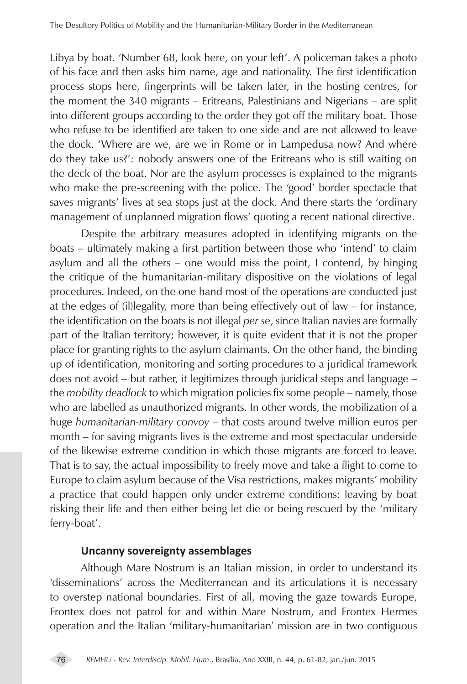Libya by boat. 'Number 68, look here, on your left'. A policeman takes a photo of his face and then asks him name, age and nationality. The first identification process stops here, fingerprints will be taken later, in the hosting centres, for the moment the 340 migrants – Eritreans, Palestinians and Nigerians – are split into different groups according to the order they got off the military boat. Those who refuse to be identified are taken to one side and are not allowed to leave the dock. 'Where are we, are we in Rome or in Lampedusa now? And where do they take us?': nobody answers one of the Eritreans who is still waiting on the deck of the boat. Nor are the asylum processes is explained to the migrants who make the pre-screening with the police. The 'good' border spectacle that saves migrants' lives at sea stops just at the dock. And there starts the 'ordinary management of unplanned migration flows' quoting a recent national directive.

Despite the arbitrary measures adopted in identifying migrants on the boats – ultimately making a first partition between those who 'intend' to claim asylum and all the others – one would miss the point, I contend, by hinging the critique of the humanitarian-military dispositive on the violations of legal procedures. Indeed, on the one hand most of the operations are conducted just at the edges of (il)legality, more than being effectively out of law – for instance, the identification on the boats is not illegal *per se*, since Italian navies are formally part of the Italian territory; however, it is quite evident that it is not the proper place for granting rights to the asylum claimants. On the other hand, the binding up of identification, monitoring and sorting procedures to a juridical framework does not avoid – but rather, it legitimizes through juridical steps and language – the *mobility deadlock* to which migration policies fix some people – namely, those who are labelled as unauthorized migrants. In other words, the mobilization of a huge *humanitarian-military convoy* – that costs around twelve million euros per month – for saving migrants lives is the extreme and most spectacular underside of the likewise extreme condition in which those migrants are forced to leave. That is to say, the actual impossibility to freely move and take a flight to come to Europe to claim asylum because of the Visa restrictions, makes migrants' mobility a practice that could happen only under extreme conditions: leaving by boat risking their life and then either being let die or being rescued by the 'military ferry-boat'.

## **Uncanny sovereignty assemblages**

Although Mare Nostrum is an Italian mission, in order to understand its 'disseminations' across the Mediterranean and its articulations it is necessary to overstep national boundaries. First of all, moving the gaze towards Europe, Frontex does not patrol for and within Mare Nostrum, and Frontex Hermes operation and the Italian 'military-humanitarian' mission are in two contiguous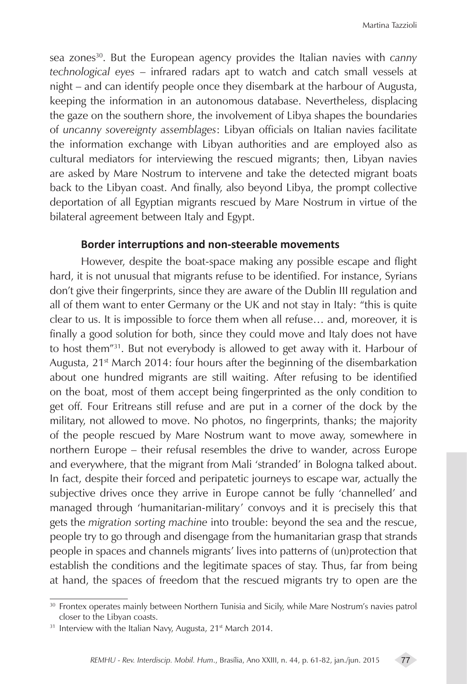sea zones30. But the European agency provides the Italian navies with *canny technological eyes* – infrared radars apt to watch and catch small vessels at night – and can identify people once they disembark at the harbour of Augusta, keeping the information in an autonomous database. Nevertheless, displacing the gaze on the southern shore, the involvement of Libya shapes the boundaries of *uncanny sovereignty assemblages*: Libyan officials on Italian navies facilitate the information exchange with Libyan authorities and are employed also as cultural mediators for interviewing the rescued migrants; then, Libyan navies are asked by Mare Nostrum to intervene and take the detected migrant boats back to the Libyan coast. And finally, also beyond Libya, the prompt collective deportation of all Egyptian migrants rescued by Mare Nostrum in virtue of the bilateral agreement between Italy and Egypt.

## **Border interruptions and non-steerable movements**

However, despite the boat-space making any possible escape and flight hard, it is not unusual that migrants refuse to be identified. For instance, Syrians don't give their fingerprints, since they are aware of the Dublin III regulation and all of them want to enter Germany or the UK and not stay in Italy: "this is quite clear to us. It is impossible to force them when all refuse… and, moreover, it is finally a good solution for both, since they could move and Italy does not have to host them"31. But not everybody is allowed to get away with it. Harbour of Augusta,  $21<sup>st</sup>$  March 2014: four hours after the beginning of the disembarkation about one hundred migrants are still waiting. After refusing to be identified on the boat, most of them accept being fingerprinted as the only condition to get off. Four Eritreans still refuse and are put in a corner of the dock by the military, not allowed to move. No photos, no fingerprints, thanks; the majority of the people rescued by Mare Nostrum want to move away, somewhere in northern Europe – their refusal resembles the drive to wander, across Europe and everywhere, that the migrant from Mali 'stranded' in Bologna talked about. In fact, despite their forced and peripatetic journeys to escape war, actually the subjective drives once they arrive in Europe cannot be fully 'channelled' and managed through 'humanitarian-military' convoys and it is precisely this that gets the *migration sorting machine* into trouble: beyond the sea and the rescue, people try to go through and disengage from the humanitarian grasp that strands people in spaces and channels migrants' lives into patterns of (un)protection that establish the conditions and the legitimate spaces of stay. Thus, far from being at hand, the spaces of freedom that the rescued migrants try to open are the

<sup>&</sup>lt;sup>30</sup> Frontex operates mainly between Northern Tunisia and Sicily, while Mare Nostrum's navies patrol closer to the Libyan coasts.

<sup>&</sup>lt;sup>31</sup> Interview with the Italian Navy, Augusta, 21<sup>st</sup> March 2014.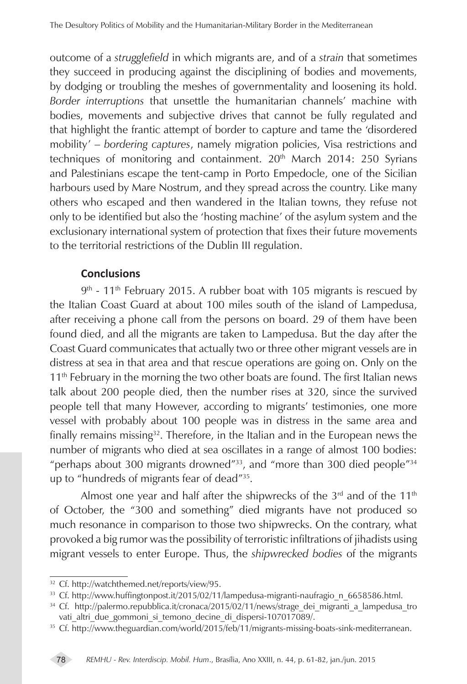outcome of a *strugglefield* in which migrants are, and of a *strain* that sometimes they succeed in producing against the disciplining of bodies and movements, by dodging or troubling the meshes of governmentality and loosening its hold. *Border interruptions* that unsettle the humanitarian channels' machine with bodies, movements and subjective drives that cannot be fully regulated and that highlight the frantic attempt of border to capture and tame the 'disordered mobility' – *bordering captures*, namely migration policies, Visa restrictions and techniques of monitoring and containment.  $20<sup>th</sup>$  March 2014: 250 Syrians and Palestinians escape the tent-camp in Porto Empedocle, one of the Sicilian harbours used by Mare Nostrum, and they spread across the country. Like many others who escaped and then wandered in the Italian towns, they refuse not only to be identified but also the 'hosting machine' of the asylum system and the exclusionary international system of protection that fixes their future movements to the territorial restrictions of the Dublin III regulation.

## **Conclusions**

 $9<sup>th</sup>$  - 11<sup>th</sup> February 2015. A rubber boat with 105 migrants is rescued by the Italian Coast Guard at about 100 miles south of the island of Lampedusa, after receiving a phone call from the persons on board. 29 of them have been found died, and all the migrants are taken to Lampedusa. But the day after the Coast Guard communicates that actually two or three other migrant vessels are in distress at sea in that area and that rescue operations are going on. Only on the  $11<sup>th</sup>$  February in the morning the two other boats are found. The first Italian news talk about 200 people died, then the number rises at 320, since the survived people tell that many However, according to migrants' testimonies, one more vessel with probably about 100 people was in distress in the same area and finally remains missing<sup>32</sup>. Therefore, in the Italian and in the European news the number of migrants who died at sea oscillates in a range of almost 100 bodies: "perhaps about 300 migrants drowned"<sup>33</sup>, and "more than 300 died people"<sup>34</sup> up to "hundreds of migrants fear of dead"35.

Almost one year and half after the shipwrecks of the  $3<sup>rd</sup>$  and of the  $11<sup>th</sup>$ of October, the "300 and something" died migrants have not produced so much resonance in comparison to those two shipwrecks. On the contrary, what provoked a big rumor was the possibility of terroristic infiltrations of jihadists using migrant vessels to enter Europe. Thus, the *shipwrecked bodies* of the migrants

<sup>32</sup> Cf. http://watchthemed.net/reports/view/95.

<sup>&</sup>lt;sup>33</sup> Cf. http://www.huffingtonpost.it/2015/02/11/lampedusa-migranti-naufragio n 6658586.html.

<sup>&</sup>lt;sup>34</sup> Cf. http://palermo.repubblica.it/cronaca/2015/02/11/news/strage\_dei\_migranti\_a\_lampedusa\_tro vati altri due gommoni si temono decine di dispersi-107017089/.

<sup>35</sup> Cf. http://www.theguardian.com/world/2015/feb/11/migrants-missing-boats-sink-mediterranean.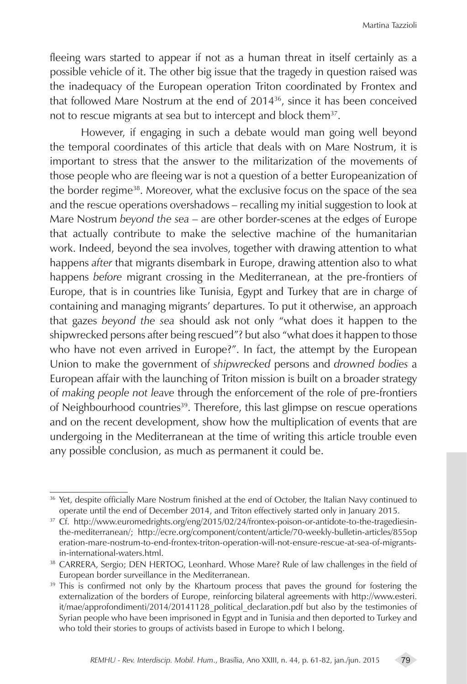Martina Tazzioli

fleeing wars started to appear if not as a human threat in itself certainly as a possible vehicle of it. The other big issue that the tragedy in question raised was the inadequacy of the European operation Triton coordinated by Frontex and that followed Mare Nostrum at the end of 2014<sup>36</sup>, since it has been conceived not to rescue migrants at sea but to intercept and block them<sup>37</sup>.

However, if engaging in such a debate would man going well beyond the temporal coordinates of this article that deals with on Mare Nostrum, it is important to stress that the answer to the militarization of the movements of those people who are fleeing war is not a question of a better Europeanization of the border regime<sup>38</sup>. Moreover, what the exclusive focus on the space of the sea and the rescue operations overshadows – recalling my initial suggestion to look at Mare Nostrum *beyond the sea* – are other border-scenes at the edges of Europe that actually contribute to make the selective machine of the humanitarian work. Indeed, beyond the sea involves, together with drawing attention to what happens *after* that migrants disembark in Europe, drawing attention also to what happens *before* migrant crossing in the Mediterranean, at the pre-frontiers of Europe, that is in countries like Tunisia, Egypt and Turkey that are in charge of containing and managing migrants' departures. To put it otherwise, an approach that gazes *beyond the sea* should ask not only "what does it happen to the shipwrecked persons after being rescued"? but also "what does it happen to those who have not even arrived in Europe?". In fact, the attempt by the European Union to make the government of *shipwrecked* persons and *drowned bodies* a European affair with the launching of Triton mission is built on a broader strategy of *making people not leave* through the enforcement of the role of pre-frontiers of Neighbourhood countries<sup>39</sup>. Therefore, this last glimpse on rescue operations and on the recent development, show how the multiplication of events that are undergoing in the Mediterranean at the time of writing this article trouble even any possible conclusion, as much as permanent it could be.

<sup>&</sup>lt;sup>36</sup> Yet, despite officially Mare Nostrum finished at the end of October, the Italian Navy continued to operate until the end of December 2014, and Triton effectively started only in January 2015.

<sup>37</sup> Cf. http://www.euromedrights.org/eng/2015/02/24/frontex-poison-or-antidote-to-the-tragediesinthe-mediterranean/; http://ecre.org/component/content/article/70-weekly-bulletin-articles/855op eration-mare-nostrum-to-end-frontex-triton-operation-will-not-ensure-rescue-at-sea-of-migrantsin-international-waters.html.

<sup>&</sup>lt;sup>38</sup> CARRERA, Sergio; DEN HERTOG, Leonhard. Whose Mare? Rule of law challenges in the field of European border surveillance in the Mediterranean.

<sup>&</sup>lt;sup>39</sup> This is confirmed not only by the Khartoum process that paves the ground for fostering the externalization of the borders of Europe, reinforcing bilateral agreements with http://www.esteri. it/mae/approfondimenti/2014/20141128\_political\_declaration.pdf but also by the testimonies of Syrian people who have been imprisoned in Egypt and in Tunisia and then deported to Turkey and who told their stories to groups of activists based in Europe to which I belong.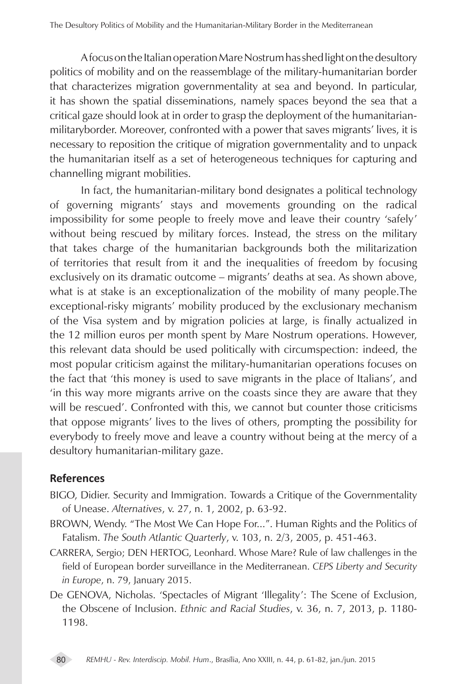A focus on the Italian operation Mare Nostrum has shed light on the desultory politics of mobility and on the reassemblage of the military-humanitarian border that characterizes migration governmentality at sea and beyond. In particular, it has shown the spatial disseminations, namely spaces beyond the sea that a critical gaze should look at in order to grasp the deployment of the humanitarianmilitaryborder. Moreover, confronted with a power that saves migrants' lives, it is necessary to reposition the critique of migration governmentality and to unpack the humanitarian itself as a set of heterogeneous techniques for capturing and channelling migrant mobilities.

In fact, the humanitarian-military bond designates a political technology of governing migrants' stays and movements grounding on the radical impossibility for some people to freely move and leave their country 'safely' without being rescued by military forces. Instead, the stress on the military that takes charge of the humanitarian backgrounds both the militarization of territories that result from it and the inequalities of freedom by focusing exclusively on its dramatic outcome – migrants' deaths at sea. As shown above, what is at stake is an exceptionalization of the mobility of many people.The exceptional-risky migrants' mobility produced by the exclusionary mechanism of the Visa system and by migration policies at large, is finally actualized in the 12 million euros per month spent by Mare Nostrum operations. However, this relevant data should be used politically with circumspection: indeed, the most popular criticism against the military-humanitarian operations focuses on the fact that 'this money is used to save migrants in the place of Italians', and 'in this way more migrants arrive on the coasts since they are aware that they will be rescued'. Confronted with this, we cannot but counter those criticisms that oppose migrants' lives to the lives of others, prompting the possibility for everybody to freely move and leave a country without being at the mercy of a desultory humanitarian-military gaze.

## **References**

- BIGO, Didier. Security and Immigration. Towards a Critique of the Governmentality of Unease. *Alternatives*, v. 27, n. 1, 2002, p. 63-92.
- BROWN, Wendy. "The Most We Can Hope For...". Human Rights and the Politics of Fatalism. *The South Atlantic Quarterly*, v. 103, n. 2/3, 2005, p. 451-463.
- CARRERA, Sergio; DEN HERTOG, Leonhard. Whose Mare? Rule of law challenges in the field of European border surveillance in the Mediterranean. *CEPS Liberty and Security in Europe*, n. 79, January 2015.
- De GENOVA, Nicholas. 'Spectacles of Migrant 'Illegality': The Scene of Exclusion, the Obscene of Inclusion. *Ethnic and Racial Studies*, v. 36, n. 7, 2013, p. 1180- 1198.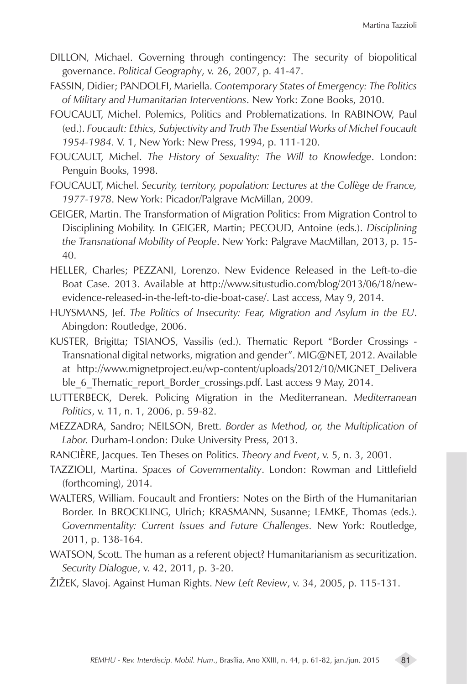- DILLON, Michael. Governing through contingency: The security of biopolitical governance. *Political Geography*, v. 26, 2007, p. 41-47.
- FASSIN, Didier; PANDOLFI, Mariella. *Contemporary States of Emergency: The Politics of Military and Humanitarian Interventions*. New York: Zone Books, 2010.
- FOUCAULT, Michel. Polemics, Politics and Problematizations. In RABINOW, Paul (ed.). *Foucault: Ethics, Subjectivity and Truth The Essential Works of Michel Foucault 1954-1984.* V. 1, New York: New Press, 1994, p. 111-120.
- FOUCAULT, Michel. *The History of Sexuality: The Will to Knowledge*. London: Penguin Books, 1998.
- FOUCAULT, Michel. *Security, territory, population: Lectures at the Collège de France, 1977-1978*. New York: Picador/Palgrave McMillan, 2009.
- GEIGER, Martin. The Transformation of Migration Politics: From Migration Control to Disciplining Mobility. In GEIGER, Martin; PECOUD, Antoine (eds.). *Disciplining the Transnational Mobility of People*. New York: Palgrave MacMillan, 2013, p. 15- 40.
- HELLER, Charles; PEZZANI, Lorenzo. New Evidence Released in the Left-to-die Boat Case. 2013. Available at http://www.situstudio.com/blog/2013/06/18/newevidence-released-in-the-left-to-die-boat-case/. Last access, May 9, 2014.
- HUYSMANS, Jef. *The Politics of Insecurity: Fear, Migration and Asylum in the EU*. Abingdon: Routledge, 2006.
- KUSTER, Brigitta; TSIANOS, Vassilis (ed.). Thematic Report "Border Crossings Transnational digital networks, migration and gender". MIG@NET, 2012. Available at http://www.mignetproject.eu/wp-content/uploads/2012/10/MIGNET\_Delivera ble\_6\_Thematic\_report\_Border\_crossings.pdf. Last access 9 May, 2014.
- LUTTERBECK, Derek. Policing Migration in the Mediterranean. *Mediterranean Politics*, v. 11, n. 1, 2006, p. 59-82.
- MEZZADRA, Sandro; NEILSON, Brett. *Border as Method, or, the Multiplication of Labor.* Durham-London: Duke University Press, 2013.
- RANCIÈRE, Jacques. Ten Theses on Politics. *Theory and Event*, v. 5, n. 3, 2001.
- TAZZIOLI, Martina. *Spaces of Governmentality*. London: Rowman and Littlefield (forthcoming), 2014.
- WALTERS, William. Foucault and Frontiers: Notes on the Birth of the Humanitarian Border. In BROCKLING, Ulrich; KRASMANN, Susanne; LEMKE, Thomas (eds.). *Governmentality: Current Issues and Future Challenges.* New York: Routledge, 2011, p. 138-164.
- WATSON, Scott. The human as a referent object? Humanitarianism as securitization. *Security Dialogue*, v. 42, 2011, p. 3-20.
- ŽIŽEK, Slavoj. Against Human Rights. *New Left Review*, v. 34, 2005, p. 115-131.